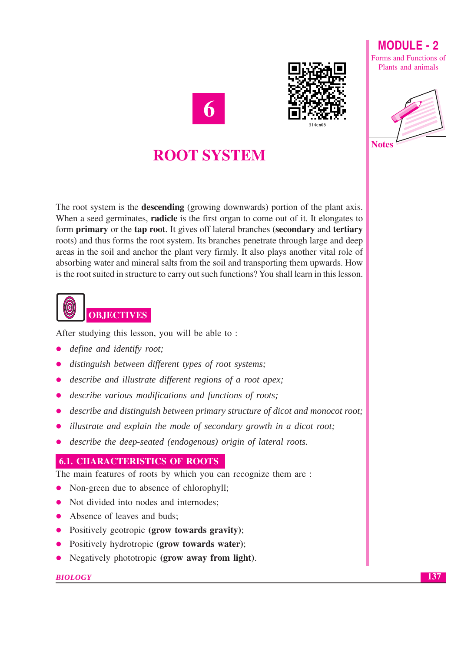







## **ROOT SYSTEM**

The root system is the **descending** (growing downwards) portion of the plant axis. When a seed germinates, **radicle** is the first organ to come out of it. It elongates to form **primary** or the **tap root**. It gives off lateral branches (secondary and **tertiary** roots) and thus forms the root system. Its branches penetrate through large and deep areas in the soil and anchor the plant very firmly. It also plays another vital role of absorbing water and mineral salts from the soil and transporting them upwards. How is the root suited in structure to carry out such functions? You shall learn in this lesson.



After studying this lesson, you will be able to:

- define and identify root;
- distinguish between different types of root systems;
- describe and illustrate different regions of a root apex:  $\bullet$
- describe various modifications and functions of roots;
- describe and distinguish between primary structure of dicot and monocot root;
- illustrate and explain the mode of secondary growth in a dicot root;
- describe the deep-seated (endogenous) origin of lateral roots.  $\bullet$

## **6.1. CHARACTERISTICS OF ROOTS**

The main features of roots by which you can recognize them are :

- Non-green due to absence of chlorophyll;  $\bullet$
- Not divided into nodes and internodes:  $\bullet$
- Absence of leaves and buds;  $\bullet$
- Positively geotropic (grow towards gravity);
- Positively hydrotropic (grow towards water);  $\bullet$
- Negatively phototropic (grow away from light).

#### **BIOLOGY**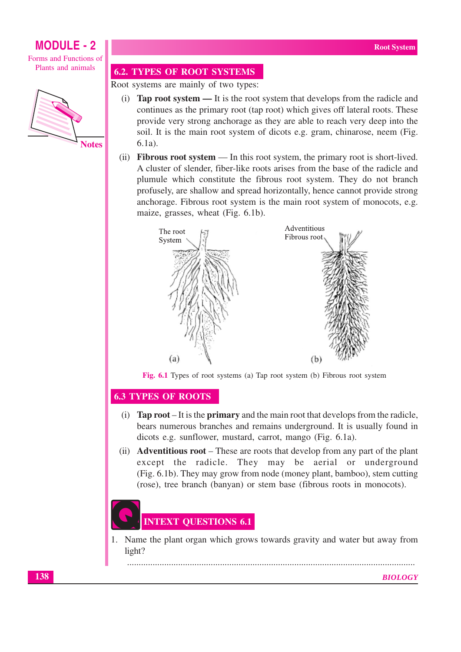## **MODULE - 2**

Forms and Functions of Plants and animals



#### **6.2. TYPES OF ROOT SYSTEMS**

Root systems are mainly of two types:

- (i) **Tap root system —** It is the root system that develops from the radicle and continues as the primary root (tap root) which gives off lateral roots. These provide very strong anchorage as they are able to reach very deep into the soil. It is the main root system of dicots e.g. gram, chinarose, neem (Fig.  $6.1a$ ).
- (ii) **Fibrous root system** In this root system, the primary root is short-lived. A cluster of slender, fiber-like roots arises from the base of the radicle and plumule which constitute the fibrous root system. They do not branch profusely, are shallow and spread horizontally, hence cannot provide strong anchorage. Fibrous root system is the main root system of monocots, e.g. maize, grasses, wheat (Fig. 6.1b).



Fig. 6.1 Types of root systems (a) Tap root system (b) Fibrous root system

#### **6.3 TYPES OF ROOTS**

- (i) **Tap root** It is the **primary** and the main root that develops from the radicle, bears numerous branches and remains underground. It is usually found in dicots e.g. sunflower, mustard, carrot, mango (Fig. 6.1a).
- (ii) **Adventitious root** These are roots that develop from any part of the plant except the radicle. They may be aerial or underground (Fig. 6.1b). They may grow from node (money plant, bamboo), stem cutting (rose), tree branch (banyan) or stem base (fibrous roots in monocots).

# **INTEXT QUESTIONS 6.1**

1. Name the plant organ which grows towards gravity and water but away from light?

**BIOLOGY**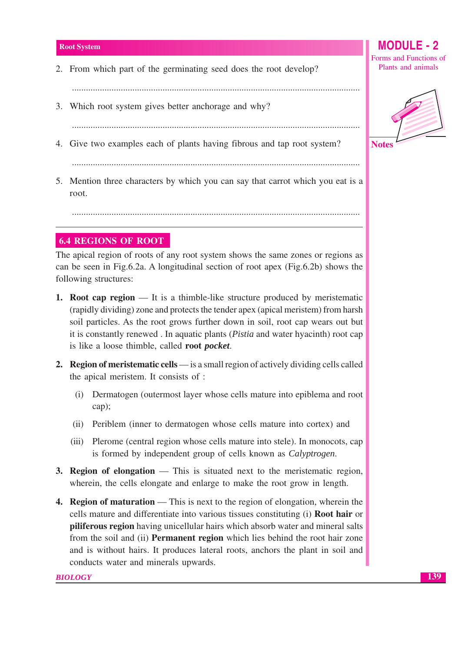2. From which part of the germinating seed does the root develop?

- 3. Which root system gives better anchorage and why?
- 4. Give two examples each of plants having fibrous and tap root system?
	-

5. Mention three characters by which you can say that carrot which you eat is a root.

## **6.4 REGIONS OF ROOT**

The apical region of roots of any root system shows the same zones or regions as can be seen in Fig.6.2a. A longitudinal section of root apex (Fig.6.2b) shows the following structures:

- **1. Root cap region** It is a thimble-like structure produced by meristematic (rapidly dividing) zone and protects the tender apex (apical meristem) from harsh soil particles. As the root grows further down in soil, root cap wears out but it is constantly renewed. In aquatic plants (*Pistia* and water hyacinth) root cap is like a loose thimble, called root pocket.
- **2. Region of meristematic cells** is a small region of actively dividing cells called the apical meristem. It consists of :
	- (i) Dermatogen (outermost layer whose cells mature into epiblema and root cap);
	- (ii) Periblem (inner to dermatogen whose cells mature into cortex) and
	- (iii) Plerome (central region whose cells mature into stele). In monocots, cap is formed by independent group of cells known as *Calvptrogen*.
- **3. Region of elongation** This is situated next to the meristematic region, wherein, the cells elongate and enlarge to make the root grow in length.
- **4. Region of maturation** This is next to the region of elongation, wherein the cells mature and differentiate into various tissues constituting (i) **Root hair** or **piliferous region** having unicellular hairs which absorb water and mineral salts from the soil and (ii) **Permanent region** which lies behind the root hair zone and is without hairs. It produces lateral roots, anchors the plant in soil and conducts water and minerals upwards.

#### $M$  $O$ DIII $E$ . 2 Forms and Functions of Plants and animals



139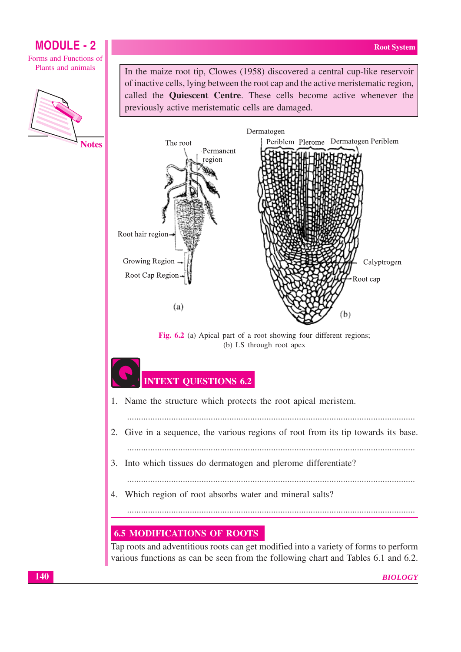Calyptrogen

Root cap

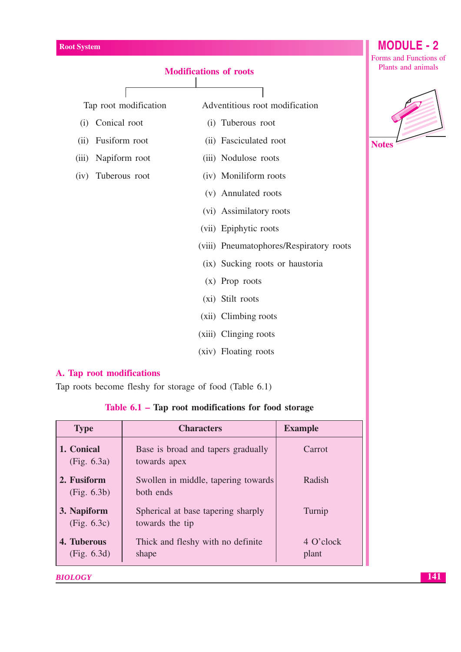

- (xiii) Clinging roots
- (xiv) Floating roots

### A. Tap root modifications

Tap roots become fleshy for storage of food (Table 6.1)

|  |  |  | Table 6.1 – Tap root modifications for food storage |  |  |  |
|--|--|--|-----------------------------------------------------|--|--|--|
|--|--|--|-----------------------------------------------------|--|--|--|

| <b>Type</b>                | <b>Characters</b>                                     | <b>Example</b>     |
|----------------------------|-------------------------------------------------------|--------------------|
| 1. Conical<br>(Fig. 6.3a)  | Base is broad and tapers gradually<br>towards apex    | Carrot             |
| 2. Fusiform<br>(Fig. 6.3b) | Swollen in middle, tapering towards<br>both ends      | Radish             |
| 3. Napiform<br>(Fig. 6.3c) | Spherical at base tapering sharply<br>towards the tip | Turnip             |
| 4. Tuberous<br>(Fig. 6.3d) | Thick and fleshy with no definite<br>shape            | 4 O'clock<br>plant |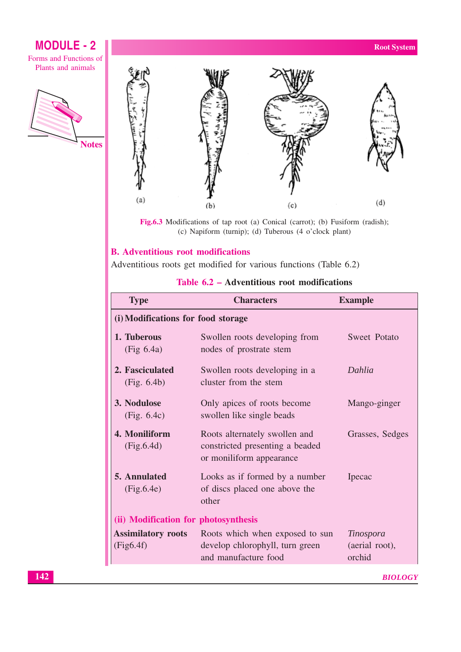## **MODULE - 2**

Forms and Functions of Plants and animals





Fig.6.3 Modifications of tap root (a) Conical (carrot); (b) Fusiform (radish); (c) Napiform (turnip); (d) Tuberous (4 o'clock plant)

## **B.** Adventitious root modifications

Adventitious roots get modified for various functions (Table 6.2)

## Table 6.2 - Adventitious root modifications

| <b>Type</b>                            | <b>Characters</b>                                                                            | <b>Example</b>                               |  |
|----------------------------------------|----------------------------------------------------------------------------------------------|----------------------------------------------|--|
| (i) Modifications for food storage     |                                                                                              |                                              |  |
| 1. Tuberous<br>(Fig 6.4a)              | Swollen roots developing from<br>nodes of prostrate stem                                     | Sweet Potato                                 |  |
| 2. Fasciculated<br>(Fig. 6.4b)         | Swollen roots developing in a<br>cluster from the stem                                       | Dahlia                                       |  |
| 3. Nodulose<br>(Fig. 6.4c)             | Only apices of roots become<br>swollen like single beads                                     | Mango-ginger                                 |  |
| 4. Moniliform<br>(Fig.6.4d)            | Roots alternately swollen and<br>constricted presenting a beaded<br>or moniliform appearance | Grasses, Sedges                              |  |
| 5. Annulated<br>(Fig.6.4e)             | Looks as if formed by a number<br>of discs placed one above the<br>other                     | Ipecac                                       |  |
| (ii) Modification for photosynthesis   |                                                                                              |                                              |  |
| <b>Assimilatory roots</b><br>(Fig6.4f) | Roots which when exposed to sun<br>develop chlorophyll, turn green<br>and manufacture food   | <i>Tinospora</i><br>(aerial root),<br>orchid |  |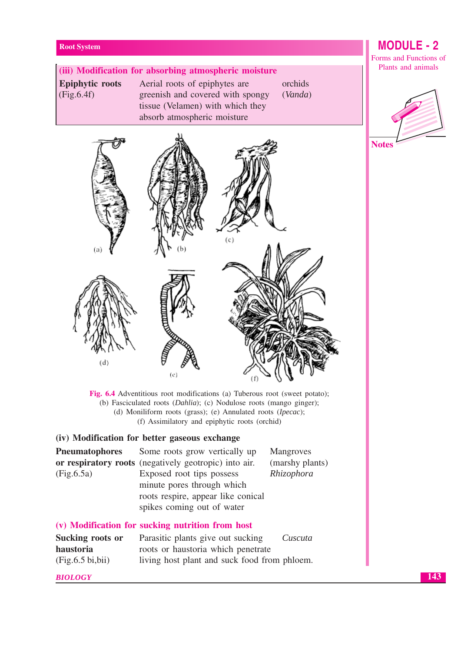## (iii) Modification for absorbing atmospheric moisture **Epiphytic roots** Aerial roots of epiphytes are orchids  $(Fig.6.4f)$ greenish and covered with spongy (Vanda) tissue (Velamen) with which they absorb atmospheric moisture  $(a)$ (d)

Fig. 6.4 Adventitious root modifications (a) Tuberous root (sweet potato); (b) Fasciculated roots  $(Dahlia)$ ; (c) Nodulose roots (mango ginger); (d) Moniliform roots (grass); (e) Annulated roots ( $Ipecac$ ); (f) Assimilatory and epiphytic roots (orchid)

## (iv) Modification for better gaseous exchange

| <b>Pneumatophores</b>                             | Some roots grow vertically up                                                                                               | Mangroves       |
|---------------------------------------------------|-----------------------------------------------------------------------------------------------------------------------------|-----------------|
|                                                   | or respiratory roots (negatively geotropic) into air.                                                                       | (marshy plants) |
| (Fig.6.5a)                                        | Exposed root tips possess<br>minute pores through which<br>roots respire, appear like conical<br>spikes coming out of water | Rhizophora      |
|                                                   | (v) Modification for sucking nutrition from host                                                                            |                 |
| Sucking roots or<br>haustoria<br>(Fig.6.5 bi,bii) | Parasitic plants give out sucking<br>roots or haustoria which penetrate<br>living host plant and suck food from phloem.     | Cuscuta         |
|                                                   |                                                                                                                             |                 |

#### **BIOLOGY**

## **MODULE - 2**

Forms and Functions of Plants and animals



**Notes**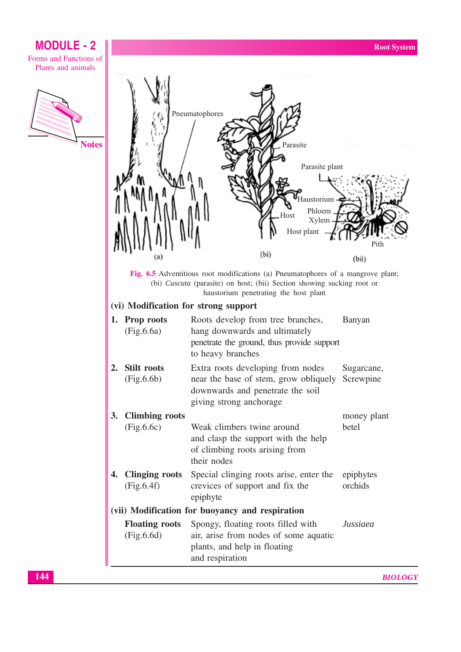Forms and Functions of Plants and animals



|                                                 |                                     | Pneumatophores<br>(bi)                                                                                                                    | Parasite<br>Parasite plant<br>Haustorium<br>Phloem<br>Host<br>Xylem<br>Host plant | Pith<br>(bii)           |
|-------------------------------------------------|-------------------------------------|-------------------------------------------------------------------------------------------------------------------------------------------|-----------------------------------------------------------------------------------|-------------------------|
|                                                 |                                     | Fig. 6.5 Adventitious root modifications (a) Pneumatophores of a mangrove plant;                                                          |                                                                                   |                         |
|                                                 |                                     | (bi) Cuscuta (parasite) on host; (bii) Section showing sucking root or<br>haustorium penetrating the host plant                           |                                                                                   |                         |
|                                                 |                                     | (vi) Modification for strong support                                                                                                      |                                                                                   |                         |
| 1.                                              | <b>Prop roots</b><br>(Fig.6.6a)     | Roots develop from tree branches,<br>hang downwards and ultimately<br>penetrate the ground, thus provide support<br>to heavy branches     |                                                                                   | Banyan                  |
| 2.                                              | <b>Stilt roots</b><br>(Fig.6.6b)    | Extra roots developing from nodes<br>near the base of stem, grow obliquely<br>downwards and penetrate the soil<br>giving strong anchorage |                                                                                   | Sugarcane,<br>Screwpine |
| 3.                                              | <b>Climbing roots</b><br>(Fig.6.6c) | Weak climbers twine around<br>and clasp the support with the help<br>of climbing roots arising from<br>their nodes                        |                                                                                   | money plant<br>betel    |
| 4.                                              | Clinging roots<br>(Fig.6.4f)        | Special clinging roots arise, enter the<br>crevices of support and fix the<br>epiphyte                                                    |                                                                                   | epiphytes<br>orchids    |
| (vii) Modification for buoyancy and respiration |                                     |                                                                                                                                           |                                                                                   |                         |
|                                                 | <b>Floating roots</b><br>(Fig.6.6d) | Spongy, floating roots filled with<br>air, arise from nodes of some aquatic<br>plants, and help in floating<br>and respiration            |                                                                                   | Jussiaea                |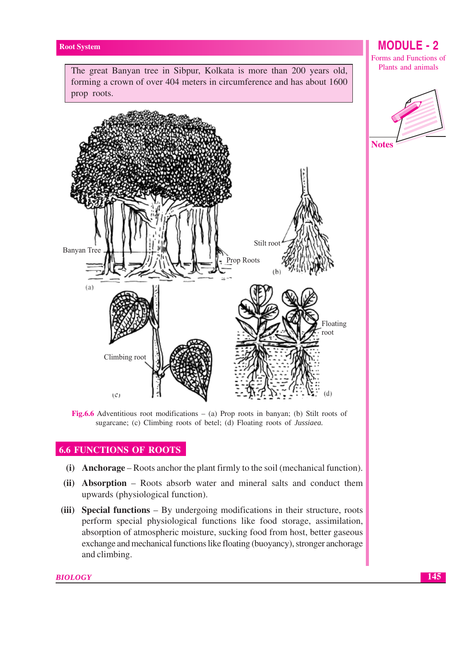The great Banyan tree in Sibpur, Kolkata is more than 200 years old, forming a crown of over 404 meters in circumference and has about 1600 prop roots.



Fig.6.6 Adventitious root modifications  $-$  (a) Prop roots in banyan; (b) Stilt roots of sugarcane; (c) Climbing roots of betel; (d) Floating roots of *Jussiaea*.

## **6.6 FUNCTIONS OF ROOTS**

- (i) Anchorage Roots anchor the plant firmly to the soil (mechanical function).
- (ii) Absorption Roots absorb water and mineral salts and conduct them upwards (physiological function).
- (iii) Special functions By undergoing modifications in their structure, roots perform special physiological functions like food storage, assimilation, absorption of atmospheric moisture, sucking food from host, better gaseous exchange and mechanical functions like floating (buoyancy), stronger anchorage and climbing.

## **MODULE - 2**

Forms and Functions of Plants and animals

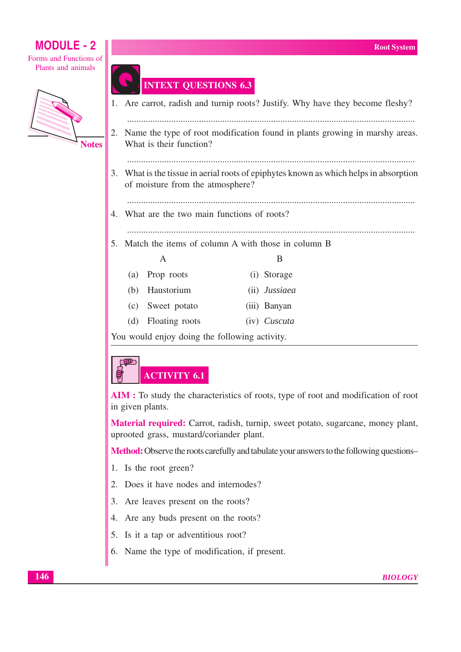Forms and Functions of Plants and animals



## **INTEXT QUESTIONS 6.3**

|    |                                                                                                                           |                |  |                       | 1. Are carrot, radish and turnip roots? Justify. Why have they become fleshy? |
|----|---------------------------------------------------------------------------------------------------------------------------|----------------|--|-----------------------|-------------------------------------------------------------------------------|
|    | 2. Name the type of root modification found in plants growing in marshy areas.<br>What is their function?                 |                |  |                       |                                                                               |
|    | 3. What is the tissue in aerial roots of epiphytes known as which helps in absorption<br>of moisture from the atmosphere? |                |  |                       |                                                                               |
|    | 4. What are the two main functions of roots?                                                                              |                |  |                       |                                                                               |
|    |                                                                                                                           |                |  |                       |                                                                               |
| 5. | Match the items of column A with those in column B                                                                        |                |  |                       |                                                                               |
|    |                                                                                                                           |                |  |                       |                                                                               |
|    |                                                                                                                           | A              |  | B                     |                                                                               |
|    | (a)                                                                                                                       | Prop roots     |  | (i) Storage           |                                                                               |
|    | (b)                                                                                                                       | Haustorium     |  | (ii) <i>Jussiaea</i>  |                                                                               |
|    | (c)                                                                                                                       | Sweet potato   |  | (iii) Banyan          |                                                                               |
|    | (d)                                                                                                                       | Floating roots |  | $(iv)$ <i>Cuscuta</i> |                                                                               |
|    |                                                                                                                           |                |  |                       |                                                                               |

You would enjoy doing the following activity.

## **COD ACTIVITY 6.1**

AIM: To study the characteristics of roots, type of root and modification of root in given plants.

**Material required:** Carrot, radish, turnip, sweet potato, sugarcane, money plant, uprooted grass, mustard/coriander plant.

Method: Observe the roots carefully and tabulate your answers to the following questions-

- 1. Is the root green?
- 2. Does it have nodes and internodes?
- 3. Are leaves present on the roots?
- 4. Are any buds present on the roots?
- 5. Is it a tap or adventitious root?
- 6. Name the type of modification, if present.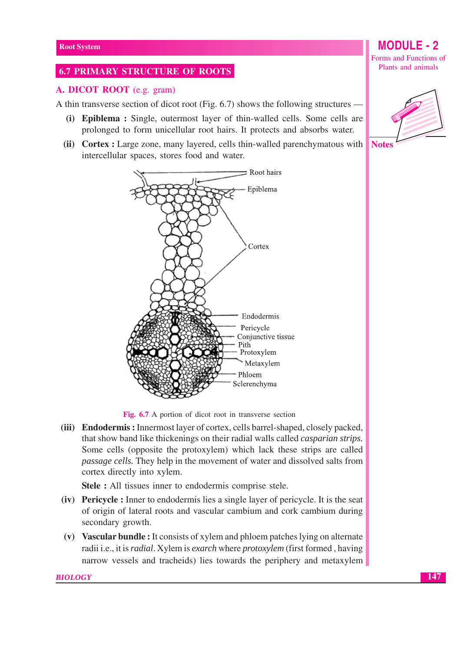## **6.7 PRIMARY STRUCTURE OF ROOTS**

#### A. DICOT ROOT (e.g. gram)

A thin transverse section of dicot root (Fig. 6.7) shows the following structures —

- (i) Epiblema: Single, outermost layer of thin-walled cells. Some cells are prolonged to form unicellular root hairs. It protects and absorbs water.
- (ii) Cortex : Large zone, many layered, cells thin-walled parenchymatous with intercellular spaces, stores food and water.



Fig. 6.7 A portion of dicot root in transverse section

(iii) Endodermis: Innermost layer of cortex, cells barrel-shaped, closely packed, that show band like thickenings on their radial walls called *casparian strips*. Some cells (opposite the protoxylem) which lack these strips are called passage cells. They help in the movement of water and dissolved salts from cortex directly into xylem.

**Stele :** All tissues inner to endodermis comprise stele.

- (iv) Pericycle : Inner to endodermis lies a single layer of pericycle. It is the seat of origin of lateral roots and vascular cambium and cork cambium during secondary growth.
- (v) Vascular bundle: It consists of xylem and phloem patches lying on alternate radii i.e., it is *radial*. Xylem is *exarch* where *protoxylem* (first formed, having narrow vessels and tracheids) lies towards the periphery and metaxylem

#### **BIOLOGY**

Forms and Functions of Plants and animals

**MODULE - 2** 



**Notes**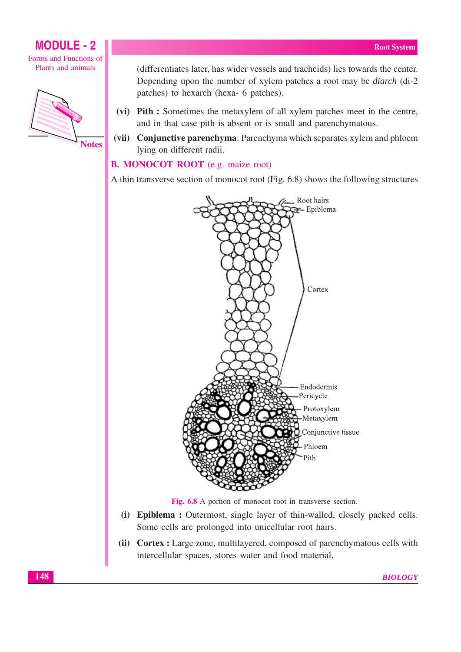



(differentiates later, has wider vessels and tracheids) lies towards the center. Depending upon the number of xylem patches a root may be *diarch* (di-2) patches) to hexarch (hexa- 6 patches).

- (vi) Pith : Sometimes the metaxylem of all xylem patches meet in the centre, and in that case pith is absent or is small and parenchymatous.
- (vii) Conjunctive parenchyma: Parenchyma which separates xylem and phloem lying on different radii.

## **B. MONOCOT ROOT** (e.g. maize root)

A thin transverse section of monocot root (Fig. 6.8) shows the following structures



Fig. 6.8 A portion of monocot root in transverse section.

- (i) Epiblema: Outermost, single layer of thin-walled, closely packed cells. Some cells are prolonged into unicellular root hairs.
- (ii) Cortex : Large zone, multilayered, composed of parenchymatous cells with intercellular spaces, stores water and food material.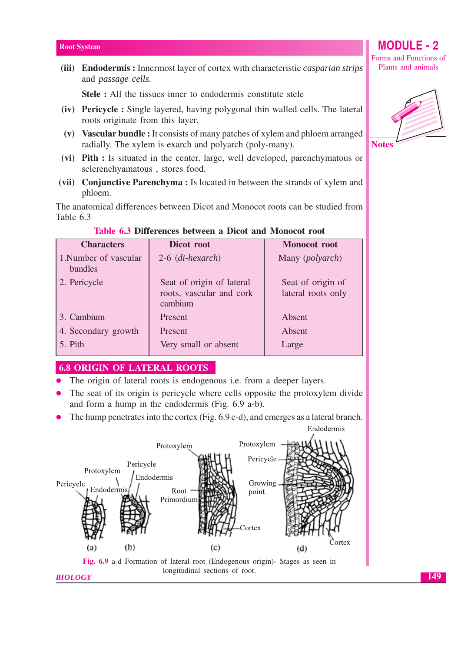(iii) Endodermis: Innermost layer of cortex with characteristic *casparian strips* and passage cells.

Stele : All the tissues inner to endodermis constitute stele

- (iv) Pericycle : Single layered, having polygonal thin walled cells. The lateral roots originate from this layer.
- (v) Vascular bundle: It consists of many patches of xylem and phloem arranged radially. The xylem is exarch and polyarch (poly-many).
- (vi) Pith : Is situated in the center, large, well developed, parenchymatous or sclerenchyamatous, stores food.
- (vii) Conjunctive Parenchyma : Is located in between the strands of xylem and phloem.

The anatomical differences between Dicot and Monocot roots can be studied from Table 6.3

| <b>Characters</b>                | Dicot root                                                       | <b>Monocot</b> root                     |
|----------------------------------|------------------------------------------------------------------|-----------------------------------------|
| 1. Number of vascular<br>bundles | $2-6$ (di-hexarch)                                               | Many ( <i>polyarch</i> )                |
| 2. Pericycle                     | Seat of origin of lateral<br>roots, vascular and cork<br>cambium | Seat of origin of<br>lateral roots only |
| 3. Cambium                       | Present                                                          | Absent                                  |
| 4. Secondary growth              | Present                                                          | Absent                                  |
| 5. Pith                          | Very small or absent                                             | Large                                   |

#### Table 6.3 Differences between a Dicot and Monocot root

#### **6.8 ORIGIN OF LATERAL ROOTS**

- The origin of lateral roots is endogenous *i.e.* from a deeper layers.
- The seat of its origin is pericycle where cells opposite the protoxylem divide and form a hump in the endodermis (Fig. 6.9 a-b).
- The hump penetrates into the cortex (Fig. 6.9 c-d), and emerges as a lateral branch.



Forms and Functions of Plants and animals

**MODULE - 2** 

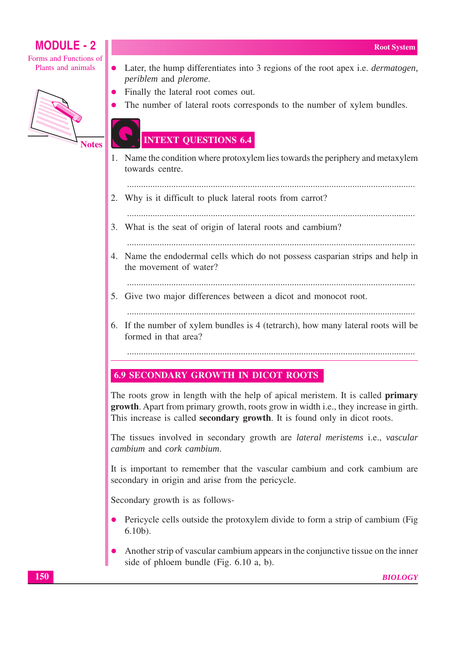Forms and Functions of Plants and animals



**Notes** 

- Later, the hump differentiates into 3 regions of the root apex i.e. *dermatogen*,  $\bullet$ periblem and plerome.
- Finally the lateral root comes out.
	- The number of lateral roots corresponds to the number of xylem bundles.

## **INTEXT QUESTIONS 6.4**

- 1. Name the condition where protoxylem lies towards the periphery and metaxylem towards centre.
- 2. Why is it difficult to pluck lateral roots from carrot?
- 
- 3. What is the seat of origin of lateral roots and cambium?
	-
- 4. Name the endodermal cells which do not possess casparian strips and help in the movement of water?
	-
- 5. Give two major differences between a dicot and monocot root.
	-
- 6. If the number of xylem bundles is 4 (tetrarch), how many lateral roots will be formed in that area?
	-

## **6.9 SECONDARY GROWTH IN DICOT ROOTS**

The roots grow in length with the help of apical meristem. It is called **primary** growth. Apart from primary growth, roots grow in width i.e., they increase in girth. This increase is called **secondary growth**. It is found only in dicot roots.

The tissues involved in secondary growth are *lateral meristems* i.e., *vascular* cambium and cork cambium

It is important to remember that the vascular cambium and cork cambium are secondary in origin and arise from the pericycle.

Secondary growth is as follows-

- Pericycle cells outside the protoxylem divide to form a strip of cambium (Fig.  $6.10<sub>b</sub>$ ).
- Another strip of vascular cambium appears in the conjunctive tissue on the inner side of phloem bundle (Fig. 6.10 a, b).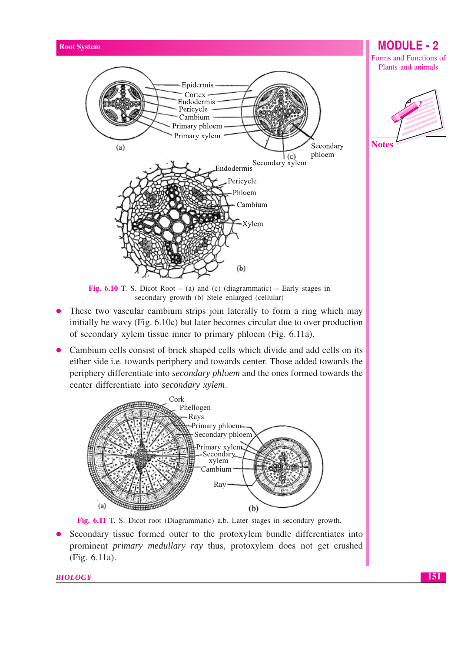

Fig. 6.10 T. S. Dicot Root – (a) and (c) (diagrammatic) – Early stages in secondary growth (b) Stele enlarged (cellular)

- These two vascular cambium strips join laterally to form a ring which may  $\bullet$ initially be wavy (Fig. 6.10c) but later becomes circular due to over production of secondary xylem tissue inner to primary phloem (Fig. 6.11a).
- Cambium cells consist of brick shaped cells which divide and add cells on its either side i.e. towards periphery and towards center. Those added towards the periphery differentiate into *secondary phloem* and the ones formed towards the center differentiate into secondary xylem.



Fig. 6.11 T. S. Dicot root (Diagrammatic) a,b. Later stages in secondary growth.

Secondary tissue formed outer to the protoxylem bundle differentiates into prominent *primary medullary ray* thus, protoxylem does not get crushed (Fig. 6.11a).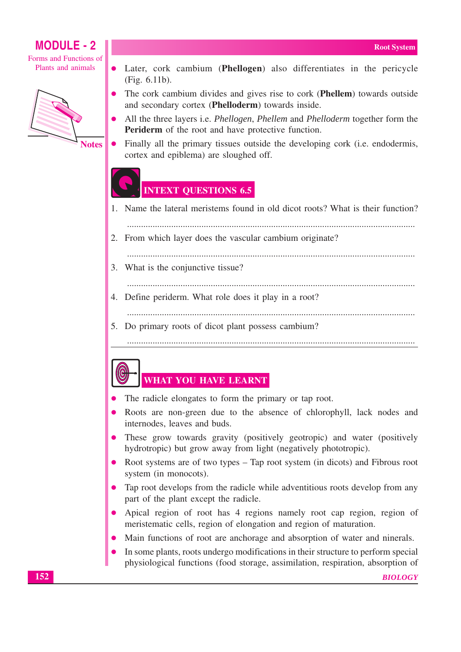Forms and Functions of Plants and animals



**Notes** 

- Later, cork cambium (Phellogen) also differentiates in the pericycle  $\bullet$ (Fig. 6.11b).
- The cork cambium divides and gives rise to cork (Phellem) towards outside and secondary cortex (Phelloderm) towards inside.
- All the three layers i.e. *Phellogen*, *Phellem* and *Phelloderm* together form the **Periderm** of the root and have protective function.
- Finally all the primary tissues outside the developing cork (i.e. endodermis, cortex and epiblema) are sloughed off.

## **INTEXT QUESTIONS 6.5**

- 1. Name the lateral meristems found in old dicot roots? What is their function?
- 
- 2. From which layer does the vascular cambium originate?
	-
- 3. What is the conjunctive tissue?
	-
- 4. Define periderm. What role does it play in a root?
	-
- 5. Do primary roots of dicot plant possess cambium?

## 

- **WHAT YOU HAVE LEARNT**
- The radicle elongates to form the primary or tap root.
- Roots are non-green due to the absence of chlorophyll, lack nodes and internodes, leaves and buds.
- These grow towards gravity (positively geotropic) and water (positively hydrotropic) but grow away from light (negatively phototropic).
- Root systems are of two types Tap root system (in dicots) and Fibrous root system (in monocots).
- Tap root develops from the radicle while adventitious roots develop from any part of the plant except the radicle.
- Apical region of root has 4 regions namely root cap region, region of meristematic cells, region of elongation and region of maturation.
- Main functions of root are anchorage and absorption of water and ninerals.
- In some plants, roots undergo modifications in their structure to perform special physiological functions (food storage, assimilation, respiration, absorption of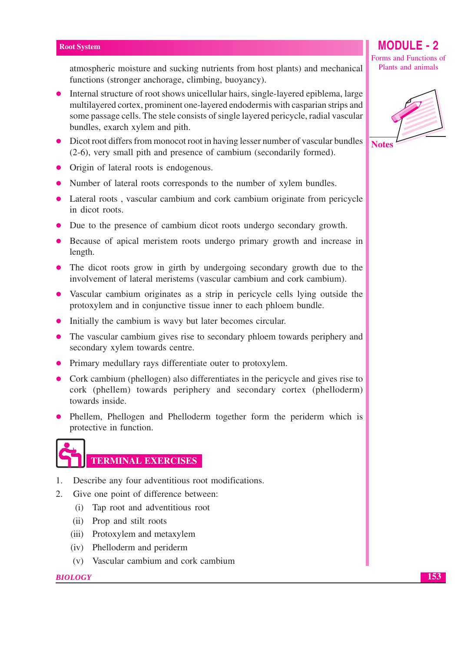atmospheric moisture and sucking nutrients from host plants) and mechanical functions (stronger anchorage, climbing, buoyancy).

- Internal structure of root shows unicellular hairs, single-layered epiblema, large multilayered cortex, prominent one-layered endodermis with casparian strips and some passage cells. The stele consists of single layered pericycle, radial vascular bundles, exarch xylem and pith.
- Dicot root differs from monocot root in having lesser number of vascular bundles (2-6), very small pith and presence of cambium (secondarily formed).
- Origin of lateral roots is endogenous.
- Number of lateral roots corresponds to the number of xylem bundles.
- Lateral roots, vascular cambium and cork cambium originate from pericycle in dicot roots.
- Due to the presence of cambium dicot roots undergo secondary growth.
- Because of apical meristem roots undergo primary growth and increase in length.
- The dicot roots grow in girth by undergoing secondary growth due to the involvement of lateral meristems (vascular cambium and cork cambium).
- Vascular cambium originates as a strip in pericycle cells lying outside the protoxylem and in conjunctive tissue inner to each phloem bundle.
- Initially the cambium is wavy but later becomes circular.
- The vascular cambium gives rise to secondary phloem towards periphery and secondary xylem towards centre.
- Primary medullary rays differentiate outer to protoxylem.
- Cork cambium (phellogen) also differentiates in the pericycle and gives rise to cork (phellem) towards periphery and secondary cortex (phelloderm) towards inside.
- Phellem, Phellogen and Phelloderm together form the periderm which is protective in function.

## **TERMINAL EXERCISES**

- 1. Describe any four adventitious root modifications.
- $2.$ Give one point of difference between:
	- (i) Tap root and adventitious root
	- (ii) Prop and stilt roots
	- (iii) Protoxylem and metaxylem
	- (iv) Phelloderm and periderm
	- (v) Vascular cambium and cork cambium

#### **BIOLOGY**

Forms and Functions of Plants and animals

**MODULE - 2** 

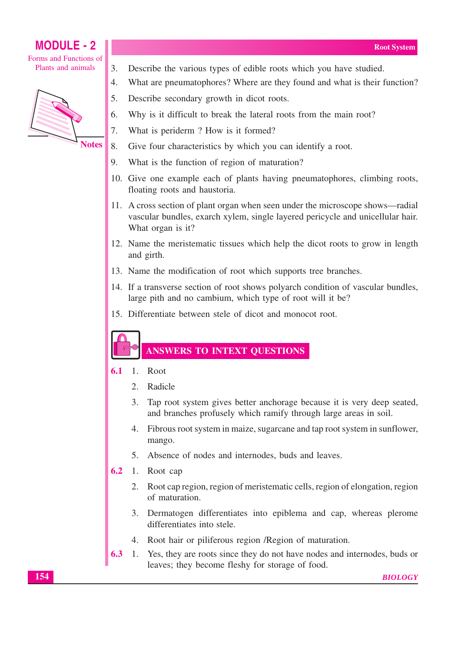Forms and Functions of Plants and animals



**Notes** 

- $3.$ Describe the various types of edible roots which you have studied.
- $\overline{4}$ What are pneumatophores? Where are they found and what is their function?
- $5<sub>1</sub>$ Describe secondary growth in dicot roots.
- 6. Why is it difficult to break the lateral roots from the main root?
- $\overline{7}$ . What is periderm? How is it formed?
- 8. Give four characteristics by which you can identify a root.
- 9. What is the function of region of maturation?
- 10. Give one example each of plants having pneumatophores, climbing roots, floating roots and haustoria.
- 11. A cross section of plant organ when seen under the microscope shows—radial vascular bundles, exarch xylem, single layered pericycle and unicellular hair. What organ is it?
- 12. Name the meristematic tissues which help the dicot roots to grow in length and girth.
- 13. Name the modification of root which supports tree branches.
- 14. If a transverse section of root shows polyarch condition of vascular bundles, large pith and no cambium, which type of root will it be?
- 15. Differentiate between stele of dicot and monocot root.

## **ANSWERS TO INTEXT QUESTIONS**

- $6.1$ 1. Root
	- $2.$ Radicle
	- $3.$ Tap root system gives better anchorage because it is very deep seated, and branches profusely which ramify through large areas in soil.
	- 4. Fibrous root system in maize, sugarcane and tap root system in sunflower, mango.
	- 5. Absence of nodes and internodes, buds and leaves.
- $6.2$ 1. Root cap
	- 2. Root cap region, region of meristematic cells, region of elongation, region of maturation.
	- 3. Dermatogen differentiates into epiblema and cap, whereas plerome differentiates into stele.
	- 4. Root hair or piliferous region / Region of maturation.
- 6.3 Yes, they are roots since they do not have nodes and internodes, buds or 1. leaves; they become fleshy for storage of food.